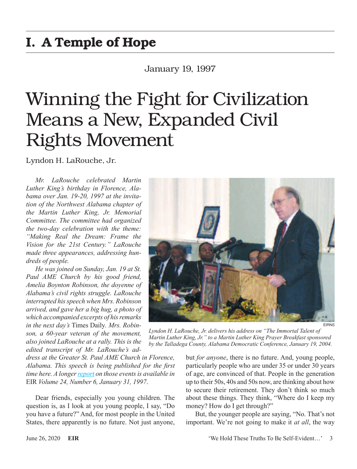## I. A Temple of Hope

### January 19, 1997

# Winning the Fight for Civilization Means a New, Expanded Civil Rights Movement

Lyndon H. LaRouche, Jr.

*Mr. LaRouche celebrated Martin Luther King's birthday in Florence, Alabama over Jan. 19-20, 1997 at the invitation of the Northwest Alabama chapter of the Martin Luther King, Jr. Memorial Committee. The committee had organized the two-day celebration with the theme: "Making Real the Dream: Frame the Vision for the 21st Century." LaRouche made three appearances, addressing hundreds of people.*

*He was joined on Sunday, Jan. 19 at St. Paul AME Church by his good friend, Amelia Boynton Robinson, the doyenne of Alabama's civil rights struggle. LaRouche interrupted his speech when Mrs. Robinson arrived, and gave her a big hug, a photo of which accompanied excerpts of his remarks in the next day's* Times Daily*. Mrs. Robinson, a 60-year veteran of the movement, also joined LaRouche at a rally. This is the edited transcript of Mr. LaRouche's ad-*

*dress at the Greater St. Paul AME Church in Florence, Alabama. This speech is being published for the first time here. A longer [report](https://larouchepub.com/eiw/public/1997/eirv24n06-19970131/eirv24n06-19970131_066-larouche_celebrates_kings_birthd.pdf) on those events is available in*  EIR *Volume 24, Number 6, January 31, 1997*.

Dear friends, especially you young children. The question is, as I look at you young people, I say, "Do you have a future?" And, for most people in the United States, there apparently is no future. Not just anyone,



EIRNS

*Lyndon H. LaRouche, Jr. delivers his address on "The Immortal Talent of Martin Luther King, Jr." to a Martin Luther King Prayer Breakfast sponsored by the Talladega County, Alabama Democratic Conference, January 19, 2004.*

but *for anyone*, there is no future. And, young people, particularly people who are under 35 or under 30 years of age, are convinced of that. People in the generation up to their 50s, 40s and 50s now, are thinking about how to secure their retirement. They don't think so much about these things. They think, "Where do I keep my money? How do I get through?"

But, the younger people are saying, "No. That's not important. We're not going to make it *at all*, the way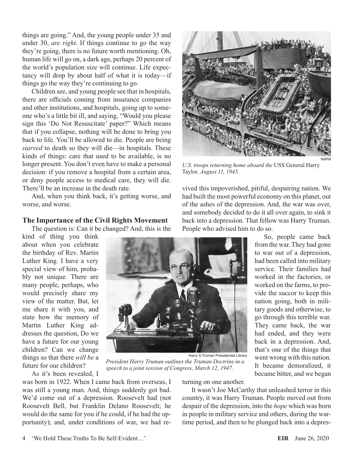things are going." And, the young people under 35 and under 30, *are right*. If things continue to go the way they're going, there is no future worth mentioning. Oh, human life will go on, a dark age, perhaps 20 percent of the world's population size will continue. Life expectancy will drop by about half of what it is today—if things go the way they're continuing to go.

Children see, and young people see that in hospitals, there are officials coming from insurance companies and other institutions, and hospitals, going up to someone who's a little bit ill, and saying, "Would you please sign this 'Do Not Resuscitate' paper?" Which means that if you collapse, nothing will be done to bring you back to life. You'll be allowed to die. People are being *starved* to death so they will die—in hospitals. These kinds of things: care that used to be available, is no longer present. You don't even have to make a personal decision: if you remove a hospital from a certain area, or deny people access to medical care, they will die. There'll be an increase in the death rate.

And, when you think back, it's getting worse, and worse, and worse.

#### **The Importance of the Civil Rights Movement**

The question is: Can it be changed? And, this is the

kind of thing you think about when you celebrate the birthday of Rev. Martin Luther King. I have a very special view of him, probably not unique. There are many people, perhaps, who would precisely share my view of the matter. But, let me share it with you, and state how the memory of Martin Luther King addresses the question, Do we have a future for our young children? Can we change things so that there *will be* a future for our children?

As it's been revealed, I

was born in 1922. When I came back from overseas, I was still a young man. And, things suddenly got bad. We'd come out of a depression. Roosevelt had (not Roosevelt Bell, but Franklin Delano Roosevelt; he would do the same for you if he could, if he had the opportunity); and, under conditions of war, we had returning on one another.

It wasn't Joe McCarthy that unleashed terror in this country, it was Harry Truman. People moved out from despair of the depression, into the *hope* which was born in people in military service and others, during the wartime period, and then to be plunged back into a depres-





*U.S. troops returning home aboard the* USS General Harry Taylor*, August 11, 1945.*

vived this impoverished, pitiful, despairing nation. We had built the most powerful economy on this planet, out of the ashes of the depression. And, the war was over, and somebody decided to do it all over again, to sink it back into a depression. That fellow was Harry Truman. People who advised him to do so.

So, people came back from the war. They had gone to war out of a depression, had been called into military service. Their families had worked in the factories, or worked on the farms, to provide the succor to keep this nation going, both in military goods and otherwise, to go through this terrible war. They came back, the war had ended, and they were back in a depression. And, that's one of the things that went wrong with this nation. It became demoralized, it became bitter, and we began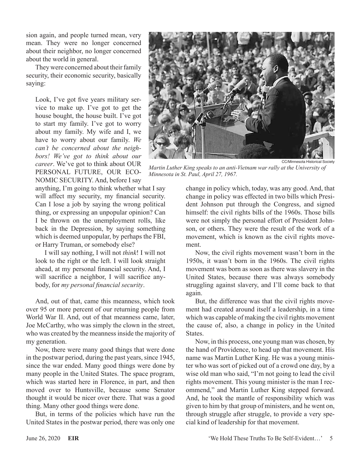sion again, and people turned mean, very mean. They were no longer concerned about their neighbor, no longer concerned about the world in general.

They were concerned about their family security, their economic security, basically saying:

Look, I've got five years military service to make up. I've got to get the house bought, the house built. I've got to start my family. I've got to worry about my family. My wife and I, we have to worry about our family. *We can't be concerned about the neighbors! We've got to think about our career*. We've got to think about OUR PERSONAL FUTURE, OUR ECO-NOMIC SECURITY. And, before I say

anything, I'm going to think whether what I say will affect my security, my financial security. Can I lose a job by saying the wrong political thing, or expressing an unpopular opinion? Can I be thrown on the unemployment rolls, like back in the Depression, by saying something which is deemed unpopular, by perhaps the FBI, or Harry Truman, or somebody else?

I will say nothing, I will not *think*! I will not look to the right or the left. I will look straight ahead, at my personal financial security. And, I will sacrifice a neighbor, I will sacrifice anybody, for *my personal financial security*.

And, out of that, came this meanness, which took over 95 or more percent of our returning people from World War II. And, out of that meanness came, later, Joe McCarthy, who was simply the clown in the street, who was created by the meanness inside the majority of my generation.

Now, there were many good things that were done in the postwar period, during the past years, since 1945, since the war ended. Many good things were done by many people in the United States. The space program, which was started here in Florence, in part, and then moved over to Huntsville, because some Senator thought it would be nicer over there. That was a good thing. Many other good things were done.

But, in terms of the policies which have run the United States in the postwar period, there was only one



*Martin Luther King speaks to an anti-Vietnam war rally at the University of Minnesota in St. Paul, April 27, 1967.*

change in policy which, today, was any good. And, that change in policy was effected in two bills which President Johnson put through the Congress, and signed himself: the civil rights bills of the 1960s. Those bills were not simply the personal effort of President Johnson, or others. They were the result of the work of a movement, which is known as the civil rights movement.

Now, the civil rights movement wasn't born in the 1950s, it wasn't born in the 1960s. The civil rights movement was born as soon as there was slavery in the United States, because there was always somebody struggling against slavery, and I'll come back to that again.

But, the difference was that the civil rights movement had created around itself a leadership, in a time which was capable of making the civil rights movement the cause of, also, a change in policy in the United States.

Now, in this process, one young man was chosen, by the hand of Providence, to head up that movement. His name was Martin Luther King. He was a young minister who was sort of picked out of a crowd one day, by a wise old man who said, "I'm not going to lead the civil rights movement. This young minister is the man I recommend," and Martin Luther King stepped forward. And, he took the mantle of responsibility which was given to him by that group of ministers, and he went on, through struggle after struggle, to provide a very special kind of leadership for that movement.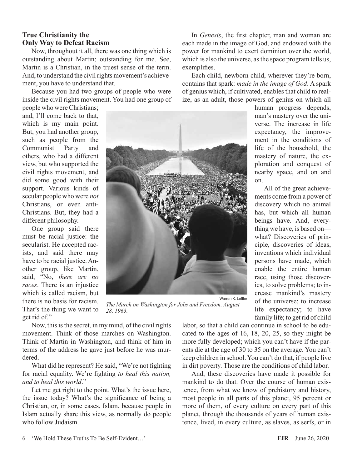#### **True Christianity the Only Way to Defeat Racism**

Now, throughout it all, there was one thing which is outstanding about Martin; outstanding for me. See, Martin is a Christian, in the truest sense of the term. And, to understand the civil rights movement's achievement, you have to understand that.

Because you had two groups of people who were inside the civil rights movement. You had one group of

people who were Christians; and, I'll come back to that, which is my main point. But, you had another group, such as people from the Communist Party and others, who had a different view, but who supported the civil rights movement, and did some good with their support. Various kinds of secular people who were *not* Christians, or even anti-Christians. But, they had a different philosophy.

One group said there must be racial justice: the secularist. He accepted racists, and said there may have to be racial justice. Another group, like Martin, said, "No, *there are no races*. There is an injustice which is called racism, but there is no basis for racism. That's the thing we want to get rid of."



*The March on Washington for Jobs and Freedom, August 28, 1963.*

Now, this is the secret, in my mind, of the civil rights movement. Think of those marches on Washington. Think of Martin in Washington, and think of him in terms of the address he gave just before he was murdered.

What did he represent? He said, "We're not fighting for racial equality. We're fighting *to heal this nation, and to heal this world*."

Let me get right to the point. What's the issue here, the issue today? What's the significance of being a Christian, or, in some cases, Islam, because people in Islam actually share this view, as normally do people who follow Judaism.

In *Genesis*, the first chapter, man and woman are each made in the image of God, and endowed with the power for mankind to exert dominion over the world, which is also the universe, as the space program tells us, exemplifies.

Each child, newborn child, wherever they're born, contains that spark: *made in the image of God*. A spark of genius which, if cultivated, enables that child to realize, as an adult, those powers of genius on which all

human progress depends, man's mastery over the universe. The increase in life expectancy, the improvement in the conditions of life of the household, the mastery of nature, the exploration and conquest of nearby space, and on and on.

All of the great achievements come from a power of discovery which no animal has, but which all human beings have. And, everything we have, is based on what? Discoveries of principle, discoveries of ideas, inventions which individual persons have made, which enable the entire human race, using those discoveries, to solve problems; to increase mankind's mastery of the universe; to increase life expectancy; to have family life; to get rid of child

labor, so that a child can continue in school to be educated to the ages of 16, 18, 20, 25, so they might be more fully developed; which you can't have if the parents die at the age of 30 to 35 on the average. You can't keep children in school. You can't do that, if people live in dirt poverty. Those are the conditions of child labor.

And, these discoveries have made it possible for mankind to do that. Over the course of human existence, from what we know of prehistory and history, most people in all parts of this planet, 95 percent or more of them, of every culture on every part of this planet, through the thousands of years of human existence, lived, in every culture, as slaves, as serfs, or in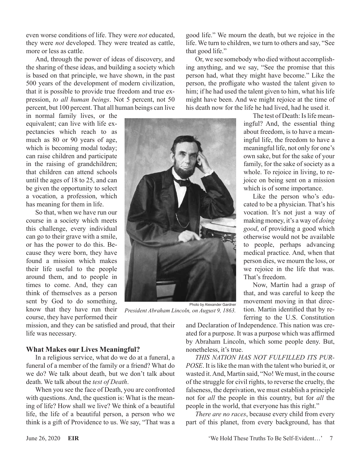even worse conditions of life. They were *not* educated, they were *not* developed. They were treated as cattle, more or less as cattle.

And, through the power of ideas of discovery, and the sharing of these ideas, and building a society which is based on that principle, we have shown, in the past 500 years of the development of modern civilization, that it is possible to provide true freedom and true expression, *to all human beings*. Not 5 percent, not 50 percent, but 100 percent. That all human beings can live

in normal family lives, or the equivalent; can live with life expectancies which reach to as much as 80 or 90 years of age, which is becoming modal today; can raise children and participate in the raising of grandchildren; that children can attend schools until the ages of 18 to 25, and can be given the opportunity to select a vocation, a profession, which has meaning for them in life.

So that, when we have run our course in a society which meets this challenge, every individual can go to their grave with a smile, or has the power to do this. Because they were born, they have found a mission which makes their life useful to the people around them, and to people in times to come. And, they can think of themselves as a person sent by God to do something, know that they have run their course, they have performed their

mission, and they can be satisfied and proud, that their life was necessary.

#### **What Makes our Lives Meaningful?**

In a religious service, what do we do at a funeral, a funeral of a member of the family or a friend? What do we do? We talk about death, but we don't talk about death. We talk about the *test of Death*.

When you see the face of Death, you are confronted with questions. And, the question is: What is the meaning of life? How shall we live? We think of a beautiful life, the life of a beautiful person, a person who we think is a gift of Providence to us. We say, "That was a good life." We mourn the death, but we rejoice in the life. We turn to children, we turn to others and say, "See that good life."

Or, we see somebody who died without accomplishing anything, and we say, "See the promise that this person had, what they might have become." Like the person, the profligate who wasted the talent given to him; if he had used the talent given to him, what his life might have been. And we might rejoice at the time of his death now for the life he had lived, had he used it.



*President Abraham Lincoln, on August 9, 1863.*

and Declaration of Independence. This nation was created for a purpose. It was a purpose which was affirmed by Abraham Lincoln, which some people deny. But, nonetheless, it's true.

*THIS NATION HAS NOT FULFILLED ITS PUR-POSE*. It is like the man with the talent who buried it, or wasted it. And, Martin said, "No! We must, in the course of the struggle for civil rights, to reverse the cruelty, the falseness, the deprivation, we must establish a principle not for *all* the people in this country, but for *all* the people in the world, that everyone has this right."

*There are no races*, because every child from every part of this planet, from every background, has that

The test of Death: Is life meaningful? And, the essential thing about freedom, is to have a meaningful life, the freedom to have a meaningful life, not only for one's own sake, but for the sake of your family, for the sake of society as a whole. To rejoice in living, to rejoice on being sent on a mission which is of some importance.

Like the person who's educated to be a physician. That's his vocation. It's not just a way of making money, it's a way of *doing good*, of providing a good which otherwise would not be available to people, perhaps advancing medical practice. And, when that person dies, we mourn the loss, or we rejoice in the life that was. That's freedom.

Now, Martin had a grasp of that, and was careful to keep the movement moving in that direction. Martin identified that by referring to the U.S. Constitution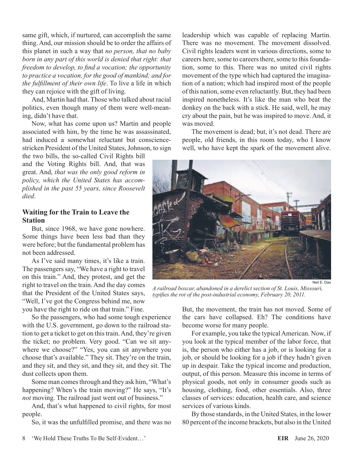same gift, which, if nurtured, can accomplish the same thing. And, our mission should be to order the affairs of this planet in such a way that *no person, that no baby born in any part of this world is denied that right: that freedom to develop, to find a vocation; the opportunity to practice a vocation, for the good of mankind; and for the fulfillment of their own life*. To live a life in which they can rejoice with the gift of living.

And, Martin had that. Those who talked about racial politics, even though many of them were well-meaning, didn't have that.

Now, what has come upon us? Martin and people associated with him, by the time he was assassinated, had induced a somewhat reluctant but consciencestricken President of the United States, Johnson, to sign

the two bills, the so-called Civil Rights bill and the Voting Rights bill. And, that was great. And, *that was the only good reform in policy, which the United States has accomplished in the past 55 years, since Roosevelt died*.

#### **Waiting for the Train to Leave the Station**

But, since 1968, we have gone nowhere. Some things have been less bad than they were before; but the fundamental problem has not been addressed.

As I've said many times, it's like a train. The passengers say, "We have a right to travel on this train." And, they protest, and get the right to travel on the train. And the day comes that the President of the United States says, "Well, I've got the Congress behind me, now you have the right to ride on that train." Fine.

So the passengers, who had some tough experience with the U.S. government, go down to the railroad station to get a ticket to get on this train. And, they're given the ticket; no problem. Very good. "Can we sit anywhere we choose?" "Yes, you can sit anywhere you choose that's available." They sit. They're on the train, and they sit, and they sit, and they sit, and they sit. The dust collects upon them.

Some man comes through and they ask him, "What's happening? When's the train moving?" He says, "It's *not* moving. The railroad just went out of business."

And, that's what happened to civil rights, for most people.

So, it was the unfulfilled promise, and there was no

leadership which was capable of replacing Martin. There was no movement. The movement dissolved. Civil rights leaders went in various directions, some to careers here, some to careers there, some to this foundation, some to this. There was no united civil rights movement of the type which had captured the imagination of a nation; which had inspired most of the people of this nation, some even reluctantly. But, they had been inspired nonetheless. It's like the man who beat the donkey on the back with a stick. He said, well, he may cry about the pain, but he was inspired to move. And, it was moved.

The movement is dead; but, it's not dead. There are people, old friends, in this room today, who I know well, who have kept the spark of the movement alive.



Neil E. Das

*A railroad boxcar, abandoned in a derelict section of St. Louis, Missouri, typifies the rot of the post-industrial economy, February 20, 2011.*

But, the movement, the train has not moved. Some of the cars have collapsed. Eh? The conditions have become worse for many people.

For example, you take the typical American. Now, if you look at the typical member of the labor force, that is, the person who either has a job, or is looking for a job, or should be looking for a job if they hadn't given up in despair. Take the typical income and production, output, of this person. Measure this income in terms of physical goods, not only in consumer goods such as housing, clothing, food, other essentials. Also, three classes of services: education, health care, and science services of various kinds.

By those standards, in the United States, in the lower 80 percent of the income brackets, but also in the United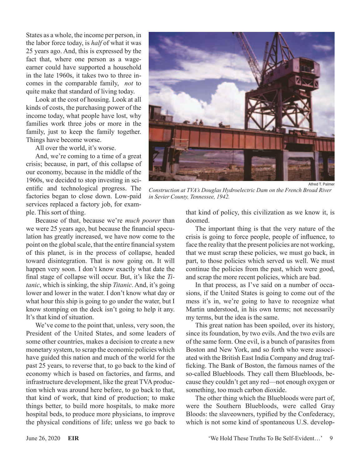States as a whole, the income per person, in the labor force today, is *half* of what it was 25 years ago. And, this is expressed by the fact that, where one person as a wageearner could have supported a household in the late 1960s, it takes two to three incomes in the comparable family, *not* to quite make that standard of living today.

Look at the cost of housing. Look at all kinds of costs, the purchasing power of the income today, what people have lost, why families work three jobs or more in the family, just to keep the family together. Things have become worse.

All over the world, it's worse.

And, we're coming to a time of a great crisis; because, in part, of this collapse of our economy, because in the middle of the 1960s, we decided to stop investing in scientific and technological progress. The factories began to close down. Low-paid services replaced a factory job, for example. This sort of thing.

Because of that, because we're *much poorer* than we were 25 years ago, but because the financial speculation has greatly increased, we have now come to the point on the global scale, that the entire financial system of this planet, is in the process of collapse, headed toward disintegration. That is now going on. It will happen very soon. I don't know exactly what date the final stage of collapse will occur. But, it's like the *Titanic*, which is sinking, the ship *Titanic*. And, it's going lower and lower in the water. I don't know what day or what hour this ship is going to go under the water, but I know stomping on the deck isn't going to help it any. It's that kind of situation.

We've come to the point that, unless, very soon, the President of the United States, and some leaders of some other countries, makes a decision to create a new monetary system, to scrap the economic policies which have guided this nation and much of the world for the past 25 years, to reverse that, to go back to the kind of economy which is based on factories, and farms, and infrastructure development, like the great TVA production which was around here before, to go back to that, that kind of work, that kind of production; to make things better, to build more hospitals, to make more hospital beds, to produce more physicians, to improve the physical conditions of life; unless we go back to



*Construction at TVA's Douglas Hydroelectric Dam on the French Broad River in Sevier County, Tennessee, 1942.*

that kind of policy, this civilization as we know it, is doomed.

The important thing is that the very nature of the crisis is going to force people, people of influence, to face the reality that the present policies are not working, that we must scrap these policies, we must go back, in part, to those policies which served us well. We must continue the policies from the past, which were good, and scrap the more recent policies, which are bad.

In that process, as I've said on a number of occasions, if the United States is going to come out of the mess it's in, we're going to have to recognize what Martin understood, in his own terms; not necessarily my terms, but the idea is the same.

This great nation has been spoiled, over its history, since its foundation, by two evils. And the two evils are of the same form. One evil, is a bunch of parasites from Boston and New York, and so forth who were associated with the British East India Company and drug trafficking. The Bank of Boston, the famous names of the so-called Bluebloods. They call them Bluebloods, because they couldn't get any red—not enough oxygen or something, too much carbon dioxide.

The other thing which the Bluebloods were part of, were the Southern Bluebloods, were called Gray Bloods: the slaveowners, typified by the Confederacy, which is not some kind of spontaneous U.S. develop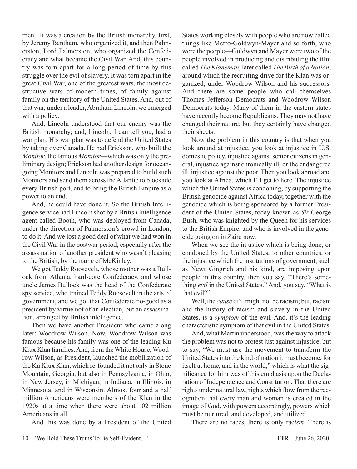ment. It was a creation by the British monarchy, first, by Jeremy Bentham, who organized it, and then Palmerston, Lord Palmerston, who organized the Confederacy and what became the Civil War. And, this country was torn apart for a long period of time by this struggle over the evil of slavery. It was torn apart in the great Civil War, one of the greatest wars, the most destructive wars of modern times, of family against family on the territory of the United States. And, out of that war, under a leader, Abraham Lincoln, we emerged with a policy.

And, Lincoln understood that our enemy was the British monarchy; and, Lincoln, I can tell you, had a war plan. His war plan was to defend the United States by taking over Canada. He had Erickson, who built the *Monitor*, the famous *Monitor*—which was only the preliminary design; Erickson had another design for oceangoing Monitors and Lincoln was prepared to build such Monitors and send them across the Atlantic to blockade every British port, and to bring the British Empire as a power to an end.

And, he could have done it. So the British Intelligence service had Lincoln shot by a British Intelligence agent called Booth, who was deployed from Canada, under the direction of Palmerston's crowd in London, to do it. And we lost a good deal of what we had won in the Civil War in the postwar period, especially after the assassination of another president who wasn't pleasing to the British, by the name of McKinley.

We got Teddy Roosevelt, whose mother was a Bullock from Atlanta, hard-core Confederacy, and whose uncle James Bullock was the head of the Confederate spy service, who trained Teddy Roosevelt in the arts of government, and we got that Confederate no-good as a president by virtue not of an election, but an assassination, arranged by British intelligence.

Then we have another President who came along later: Woodrow Wilson. Now, Woodrow Wilson was famous because his family was one of the leading Ku Klux Klan families. And, from the White House, Woodrow Wilson, as President, launched the mobilization of the Ku Klux Klan, which re-founded it not only in Stone Mountain, Georgia, but also in Pennsylvania, in Ohio, in New Jersey, in Michigan, in Indiana, in Illinois, in Minnesota, and in Wisconsin. Almost four and a half million Americans were members of the Klan in the 1920s at a time when there were about 102 million Americans in all.

And this was done by a President of the United

States working closely with people who are now called things like Metro-Goldwyn-Mayer and so forth, who were the people—Goldwyn and Mayer were two of the people involved in producing and distributing the film called *The Klansman*, later called *The Birth of a Nation*, around which the recruiting drive for the Klan was organized, under Woodrow Wilson and his successors. And there are some people who call themselves Thomas Jefferson Democrats and Woodrow Wilson Democrats today. Many of them in the eastern states have recently become Republicans. They may not have changed their nature, but they certainly have changed their sheets.

Now the problem in this country is that when you look around at injustice, you look at injustice in U.S. domestic policy, injustice against senior citizens in general, injustice against chronically ill, or the endangered ill, injustice against the poor. Then you look abroad and you look at Africa, which I'll get to here. The injustice which the United States is condoning, by supporting the British genocide against Africa today, together with the genocide which is being sponsored by a former President of the United States, today known as *Sir* George Bush, who was knighted by the Queen for his services to the British Empire, and who is involved in the genocide going on in Zaire now.

When we see the injustice which is being done, or condoned by the United States, to other countries, or the injustice which the institutions of government, such as Newt Gingrich and his kind, are imposing upon people in this country, then you say, "There's something *evil* in the United States." And, you say, "What is that evil?"

Well, the *cause* of it might not be racism; but, racism and the history of racism and slavery in the United States, is a *symptom* of the evil. And, it's the leading characteristic symptom of that evil in the United States.

And, what Martin understood, was the way to attack the problem was not to protest just against injustice, but to say, "We must use the movement to transform the United States into the kind of nation it must become, for itself at home, and in the world," which is what the significance for him was of this emphasis upon the Declaration of Independence and Constitution. That there are rights under natural law, rights which flow from the recognition that every man and woman is created in the image of God, with powers accordingly, powers which must be nurtured, and developed, and utilized.

There are no races, there is only rac*ism*. There is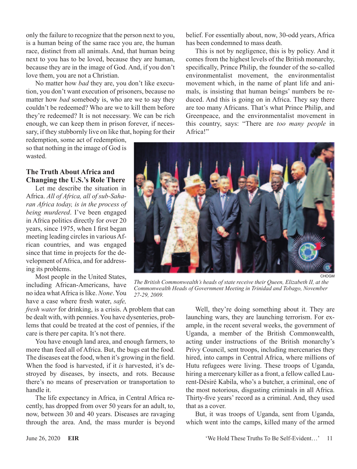only the failure to recognize that the person next to you, is a human being of the same race you are, the human race, distinct from all animals. And, that human being next to you has to be loved, because they are human, because they are in the image of God. And, if you don't love them, you are not a Christian.

No matter how *bad* they are, you don't like execution, you don't want execution of prisoners, because no matter how *bad* somebody is, who are we to say they couldn't be redeemed? Who are we to kill them before they're redeemed? It is not necessary. We can be rich enough, we can keep them in prison forever, if necessary, if they stubbornly live on like that, hoping for their

redemption, some act of redemption, so that nothing in the image of God is wasted.

#### **The Truth About Africa and Changing the U.S.'s Role There**

Let me describe the situation in Africa. *All of Africa, all of sub-Saharan Africa today, is in the process of being murdered*. I've been engaged in Africa politics directly for over 20 years, since 1975, when I first began meeting leading circles in various African countries, and was engaged since that time in projects for the development of Africa, and for addressing its problems.

Most people in the United States, including African-Americans, have no idea what Africa is like. *None*. You have a case where fresh water, *safe,* 

*fresh water* for drinking, is a crisis. A problem that can be dealt with, with pennies. You have dysenteries, problems that could be treated at the cost of pennies, if the care is there per capita. It's not there.

You have enough land area, and enough farmers, to more than feed all of Africa. But, the bugs eat the food. The diseases eat the food, when it's growing in the field. When the food is harvested, if it *is* harvested, it's destroyed by diseases, by insects, and rots. Because there's no means of preservation or transportation to handle it.

The life expectancy in Africa, in Central Africa recently, has dropped from over 50 years for an adult, to, now, between 30 and 40 years. Diseases are ravaging through the area. And, the mass murder is beyond belief. For essentially about, now, 30-odd years, Africa has been condemned to mass death.

This is not by negligence, this is by policy. And it comes from the highest levels of the British monarchy, specifically, Prince Philip, the founder of the so-called environmentalist movement, the environmentalist movement which, in the name of plant life and animals, is insisting that human beings' numbers be reduced. And this is going on in Africa. They say there are too many Africans. That's what Prince Philip, and Greenpeace, and the environmentalist movement in this country, says: "There are *too many people* in Africa!"



CHOGM

*The British Commonwealth's heads of state receive their Queen, Elizabeth II, at the Commonwealth Heads of Government Meeting in Trinidad and Tobago, November 27-29, 2009.*

Well, they're doing something about it. They are launching wars, they are launching terrorism. For example, in the recent several weeks, the government of Uganda, a member of the British Commonwealth, acting under instructions of the British monarchy's Privy Council, sent troops, including mercenaries they hired, into camps in Central Africa, where millions of Hutu refugees were living. These troops of Uganda, hiring a mercenary killer as a front, a fellow called Laurent-Désiré Kabila, who's a butcher, a criminal, one of the most notorious, disgusting criminals in all Africa. Thirty-five years' record as a criminal. And, they used that as a cover.

But, it was troops of Uganda, sent from Uganda, which went into the camps, killed many of the armed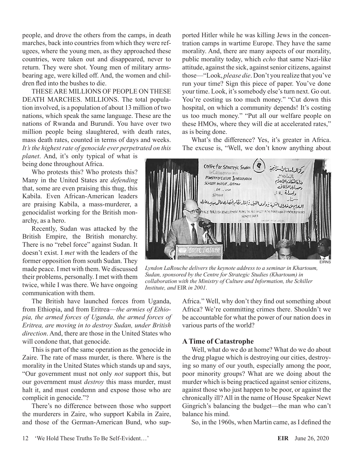people, and drove the others from the camps, in death marches, back into countries from which they were refugees, where the young men, as they approached these countries, were taken out and disappeared, never to return. They were shot. Young men of military armsbearing age, were killed off. And, the women and children fled into the bushes to die.

THESE ARE MILLIONS OF PEOPLE ON THESE DEATH MARCHES. MILLIONS. The total population involved, is a population of about 13 million of two nations, which speak the same language. These are the nations of Rwanda and Burundi. You have over two million people being slaughtered, with death rates, mass death rates, counted in terms of days and weeks. *It's the highest rate of genocide ever perpetrated on this* 

*planet*. And, it's only typical of what is being done throughout Africa.

Who protests this? Who protests this? Many in the United States are *defending* that, some are even praising this thug, this Kabila. Even African-American leaders are praising Kabila, a mass-murderer, a genocidalist working for the British monarchy, as a hero.

Recently, Sudan was attacked by the British Empire, the British monarchy. There is no "rebel force" against Sudan. It doesn't exist. I *met* with the leaders of the former opposition from south Sudan. They made peace. I met with them. We discussed their problems, personally. I met with them twice, while I was there. We have ongoing communication with them.

The British have launched forces from Uganda, from Ethiopia, and from Eritrea—*the armies of Ethiopia, the armed forces of Uganda, the armed forces of Eritrea, are moving in to destroy Sudan, under British direction*. And, there are those in the United States who will condone that, that genocide.

This is part of the same operation as the genocide in Zaire. The rate of mass murder, is there. Where is the morality in the United States which stands up and says, "Our government must not only *not* support this, but our government must *destroy* this mass murder, must halt it, and must condemn and expose those who are complicit in genocide."?

There's no difference between those who support the murderers in Zaire, who support Kabila in Zaire, and those of the German-American Bund, who sup-

ported Hitler while he was killing Jews in the concentration camps in wartime Europe. They have the same morality. And, there are many aspects of our morality, public morality today, which *echo* that same Nazi-like attitude, against the sick, against senior citizens, against those—"Look, *please die*. Don't you realize that you've run your time? Sign this piece of paper. You've done your time. Look, it's somebody else's turn next. Go out. You're costing us too much money." "Cut down this hospital, on which a community depends! It's costing us too much money." "Put all our welfare people on these HMOs, where they will die at accelerated rates," as is being done.

What's the difference? Yes, it's greater in Africa. The excuse is, "Well, we don't know anything about



*Lyndon LaRouche delivers the keynote address to a seminar in Khartoum, Sudan, sponsored by the Centre for Strategic Studies (Khartoum) in collaboration with the Ministry of Culture and Information, the Schiller Institute, and* EIR *in 2001.*

Africa." Well, why don't they find out something about Africa? We're committing crimes there. Shouldn't we be accountable for what the power of our nation does in various parts of the world?

#### **A Time of Catastrophe**

Well, what do we do at home? What do we do about the drug plague which is destroying our cities, destroying so many of our youth, especially among the poor, poor minority groups? What are we doing about the murder which is being practiced against senior citizens, against those who just happen to be poor, or against the chronically ill? All in the name of House Speaker Newt Gingrich's balancing the budget—the man who can't balance his mind.

So, in the 1960s, when Martin came, as I defined the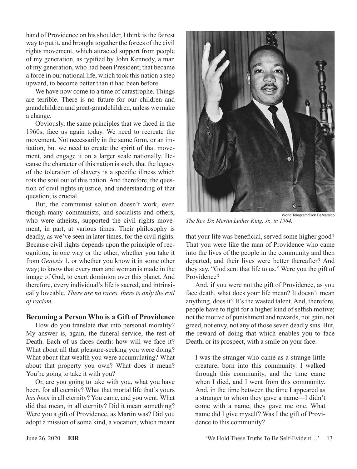hand of Providence on his shoulder, I think is the fairest way to put it, and brought together the forces of the civil rights movement, which attracted support from people of my generation, as typified by John Kennedy, a man of my generation, who had been President; that became a force in our national life, which took this nation a step upward, to become better than it had been before.

We have now come to a time of catastrophe. Things are terrible. There is no future for our children and grandchildren and great-grandchildren, unless we make a change.

Obviously, the same principles that we faced in the 1960s, face us again today. We need to recreate the movement. Not necessarily in the same form, or an imitation, but we need to create the spirit of that movement, and engage it on a larger scale nationally. Because the character of this nation is such, that the legacy of the toleration of slavery is a specific illness which rots the soul out of this nation. And therefore, the question of civil rights injustice, and understanding of that question, is crucial.

But, the communist solution doesn't work, even though many communists, and socialists and others, who were atheists, supported the civil rights movement, in part, at various times. Their philosophy is deadly, as we've seen in later times, for the civil rights. Because civil rights depends upon the principle of recognition, in one way or the other, whether you take it from *Genesis* 1, or whether you know it in some other way; to know that every man and woman is made in the image of God, to exert dominion over this planet. And therefore, every individual's life is sacred, and intrinsically loveable. *There are no races, there is only the evil of racism*.

#### **Becoming a Person Who is a Gift of Providence**

How do you translate that into personal morality? My answer is, again, the funeral service, the test of Death. Each of us faces death: how will we face it? What about all that pleasure-seeking you were doing? What about that wealth you were accumulating? What about that property you own? What does it mean? You're going to take it with you?

Or, are you going to take with you, what you have been, for all eternity? What that mortal life that's yours *has been* in all eternity? You came, and you went. What did that mean, in all eternity? Did it mean something? Were you a gift of Providence, as Martin was? Did you adopt a mission of some kind, a vocation, which meant



*The Rev. Dr. Martin Luther King, Jr., in 1964.*

that your life was beneficial, served some higher good? That you were like the man of Providence who came into the lives of the people in the community and then departed, and their lives were better thereafter? And they say, "God sent that life to us." Were you the gift of Providence?

And, if you were not the gift of Providence, as you face death, what does your life mean? It doesn't mean anything, does it? It's the wasted talent. And, therefore, people have to fight for a higher kind of selfish motive; not the motive of punishment and rewards, not gain, not greed, not envy, not any of those seven deadly sins. But, the reward of doing that which enables you to face Death, or its prospect, with a smile on your face.

I was the stranger who came as a strange little creature, born into this community. I walked through this community, and the time came when I died, and I went from this community. And, in the time between the time I appeared as a stranger to whom they gave a name—I didn't come with a name, they gave me one. What name did I give myself? Was I the gift of Providence to this community?